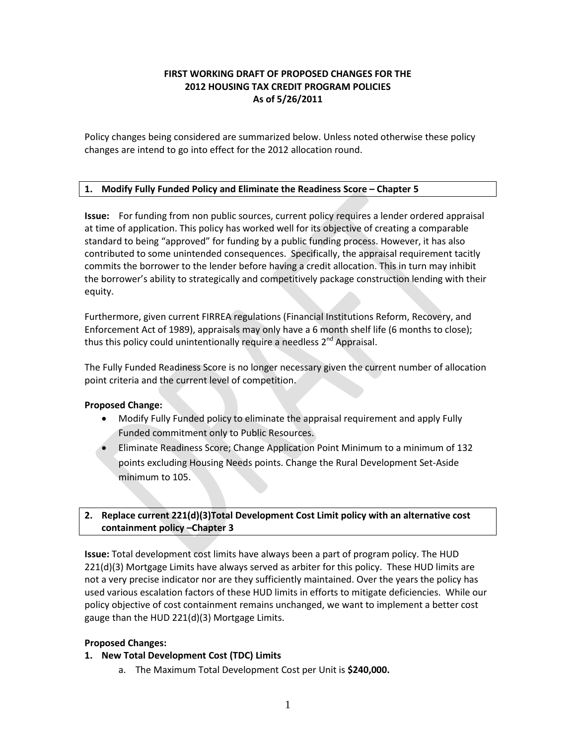# **FIRST WORKING DRAFT OF PROPOSED CHANGES FOR THE 2012 HOUSING TAX CREDIT PROGRAM POLICIES As of 5/26/2011**

Policy changes being considered are summarized below. Unless noted otherwise these policy changes are intend to go into effect for the 2012 allocation round.

# **1. Modify Fully Funded Policy and Eliminate the Readiness Score – Chapter 5**

**Issue:** For funding from non public sources, current policy requires a lender ordered appraisal at time of application. This policy has worked well for its objective of creating a comparable standard to being "approved" for funding by a public funding process. However, it has also contributed to some unintended consequences. Specifically, the appraisal requirement tacitly commits the borrower to the lender before having a credit allocation. This in turn may inhibit the borrower's ability to strategically and competitively package construction lending with their equity.

Furthermore, given current FIRREA regulations (Financial Institutions Reform, Recovery, and Enforcement Act of 1989), appraisals may only have a 6 month shelf life (6 months to close); thus this policy could unintentionally require a needless  $2^{nd}$  Appraisal.

The Fully Funded Readiness Score is no longer necessary given the current number of allocation point criteria and the current level of competition.

## **Proposed Change:**

- Modify Fully Funded policy to eliminate the appraisal requirement and apply Fully Funded commitment only to Public Resources.
- Eliminate Readiness Score; Change Application Point Minimum to a minimum of 132 points excluding Housing Needs points. Change the Rural Development Set-Aside minimum to 105.

# **2. Replace current 221(d)(3)Total Development Cost Limit policy with an alternative cost containment policy –Chapter 3**

**Issue:** Total development cost limits have always been a part of program policy. The HUD 221(d)(3) Mortgage Limits have always served as arbiter for this policy. These HUD limits are not a very precise indicator nor are they sufficiently maintained. Over the years the policy has used various escalation factors of these HUD limits in efforts to mitigate deficiencies. While our policy objective of cost containment remains unchanged, we want to implement a better cost gauge than the HUD 221(d)(3) Mortgage Limits.

## **Proposed Changes:**

## **1. New Total Development Cost (TDC) Limits**

a. The Maximum Total Development Cost per Unit is **\$240,000.**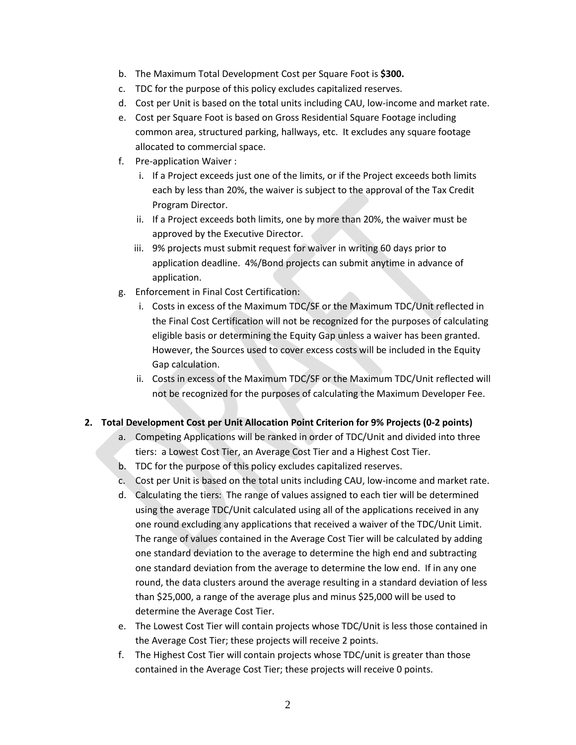- b. The Maximum Total Development Cost per Square Foot is **\$300.**
- c. TDC for the purpose of this policy excludes capitalized reserves.
- d. Cost per Unit is based on the total units including CAU, low-income and market rate.
- e. Cost per Square Foot is based on Gross Residential Square Footage including common area, structured parking, hallways, etc. It excludes any square footage allocated to commercial space.
- f. Pre-application Waiver :
	- i. If a Project exceeds just one of the limits, or if the Project exceeds both limits each by less than 20%, the waiver is subject to the approval of the Tax Credit Program Director.
	- ii. If a Project exceeds both limits, one by more than 20%, the waiver must be approved by the Executive Director.
	- iii. 9% projects must submit request for waiver in writing 60 days prior to application deadline. 4%/Bond projects can submit anytime in advance of application.
- g. Enforcement in Final Cost Certification:
	- i. Costs in excess of the Maximum TDC/SF or the Maximum TDC/Unit reflected in the Final Cost Certification will not be recognized for the purposes of calculating eligible basis or determining the Equity Gap unless a waiver has been granted. However, the Sources used to cover excess costs will be included in the Equity Gap calculation.
	- ii. Costs in excess of the Maximum TDC/SF or the Maximum TDC/Unit reflected will not be recognized for the purposes of calculating the Maximum Developer Fee.

# **2. Total Development Cost per Unit Allocation Point Criterion for 9% Projects (0-2 points)**

- a. Competing Applications will be ranked in order of TDC/Unit and divided into three tiers: a Lowest Cost Tier, an Average Cost Tier and a Highest Cost Tier.
- b. TDC for the purpose of this policy excludes capitalized reserves.
- c. Cost per Unit is based on the total units including CAU, low-income and market rate.
- d. Calculating the tiers: The range of values assigned to each tier will be determined using the average TDC/Unit calculated using all of the applications received in any one round excluding any applications that received a waiver of the TDC/Unit Limit. The range of values contained in the Average Cost Tier will be calculated by adding one standard deviation to the average to determine the high end and subtracting one standard deviation from the average to determine the low end. If in any one round, the data clusters around the average resulting in a standard deviation of less than \$25,000, a range of the average plus and minus \$25,000 will be used to determine the Average Cost Tier.
- e. The Lowest Cost Tier will contain projects whose TDC/Unit is less those contained in the Average Cost Tier; these projects will receive 2 points.
- f. The Highest Cost Tier will contain projects whose TDC/unit is greater than those contained in the Average Cost Tier; these projects will receive 0 points.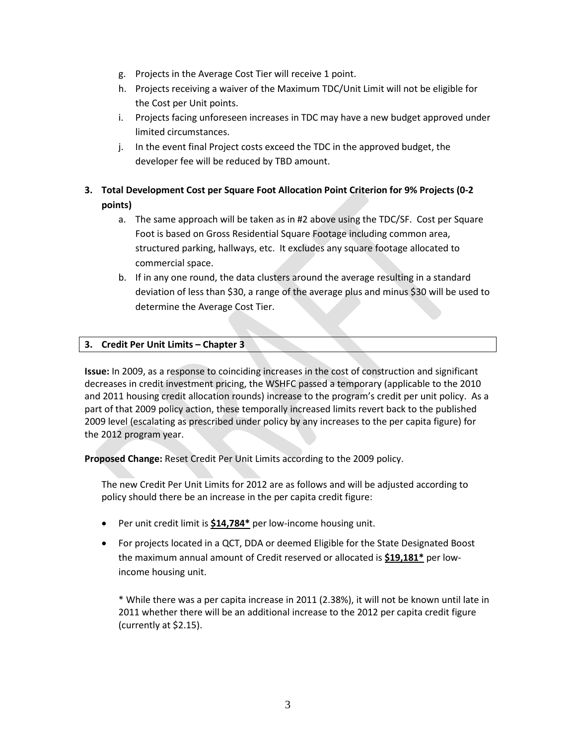- g. Projects in the Average Cost Tier will receive 1 point.
- h. Projects receiving a waiver of the Maximum TDC/Unit Limit will not be eligible for the Cost per Unit points.
- i. Projects facing unforeseen increases in TDC may have a new budget approved under limited circumstances.
- j. In the event final Project costs exceed the TDC in the approved budget, the developer fee will be reduced by TBD amount.

# **3. Total Development Cost per Square Foot Allocation Point Criterion for 9% Projects (0-2 points)**

- a. The same approach will be taken as in #2 above using the TDC/SF. Cost per Square Foot is based on Gross Residential Square Footage including common area, structured parking, hallways, etc. It excludes any square footage allocated to commercial space.
- b. If in any one round, the data clusters around the average resulting in a standard deviation of less than \$30, a range of the average plus and minus \$30 will be used to determine the Average Cost Tier.

# **3. Credit Per Unit Limits – Chapter 3**

**Issue:** In 2009, as a response to coinciding increases in the cost of construction and significant decreases in credit investment pricing, the WSHFC passed a temporary (applicable to the 2010 and 2011 housing credit allocation rounds) increase to the program's credit per unit policy. As a part of that 2009 policy action, these temporally increased limits revert back to the published 2009 level (escalating as prescribed under policy by any increases to the per capita figure) for the 2012 program year.

**Proposed Change:** Reset Credit Per Unit Limits according to the 2009 policy.

The new Credit Per Unit Limits for 2012 are as follows and will be adjusted according to policy should there be an increase in the per capita credit figure:

- Per unit credit limit is **\$14,784\*** per low-income housing unit.
- For projects located in a QCT, DDA or deemed Eligible for the State Designated Boost the maximum annual amount of Credit reserved or allocated is **\$19,181\*** per lowincome housing unit.

\* While there was a per capita increase in 2011 (2.38%), it will not be known until late in 2011 whether there will be an additional increase to the 2012 per capita credit figure (currently at \$2.15).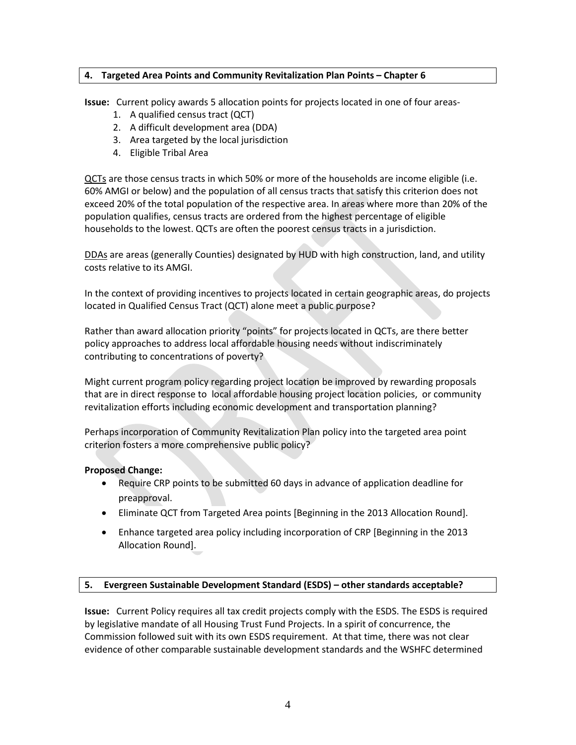## **4. Targeted Area Points and Community Revitalization Plan Points – Chapter 6**

**Issue:** Current policy awards 5 allocation points for projects located in one of four areas-

- 1. A qualified census tract (QCT)
- 2. A difficult development area (DDA)
- 3. Area targeted by the local jurisdiction
- 4. Eligible Tribal Area

QCTs are those census tracts in which 50% or more of the households are income eligible (i.e. 60% AMGI or below) and the population of all census tracts that satisfy this criterion does not exceed 20% of the total population of the respective area. In areas where more than 20% of the population qualifies, census tracts are ordered from the highest percentage of eligible households to the lowest. QCTs are often the poorest census tracts in a jurisdiction.

DDAs are areas (generally Counties) designated by HUD with high construction, land, and utility costs relative to its AMGI.

In the context of providing incentives to projects located in certain geographic areas, do projects located in Qualified Census Tract (QCT) alone meet a public purpose?

Rather than award allocation priority "points" for projects located in QCTs, are there better policy approaches to address local affordable housing needs without indiscriminately contributing to concentrations of poverty?

Might current program policy regarding project location be improved by rewarding proposals that are in direct response to local affordable housing project location policies, or community revitalization efforts including economic development and transportation planning?

Perhaps incorporation of Community Revitalization Plan policy into the targeted area point criterion fosters a more comprehensive public policy?

## **Proposed Change:**

- Require CRP points to be submitted 60 days in advance of application deadline for preapproval.
- Eliminate QCT from Targeted Area points [Beginning in the 2013 Allocation Round].
- Enhance targeted area policy including incorporation of CRP [Beginning in the 2013 Allocation Round].

## **5. Evergreen Sustainable Development Standard (ESDS) – other standards acceptable?**

**Issue:** Current Policy requires all tax credit projects comply with the ESDS. The ESDS is required by legislative mandate of all Housing Trust Fund Projects. In a spirit of concurrence, the Commission followed suit with its own ESDS requirement. At that time, there was not clear evidence of other comparable sustainable development standards and the WSHFC determined